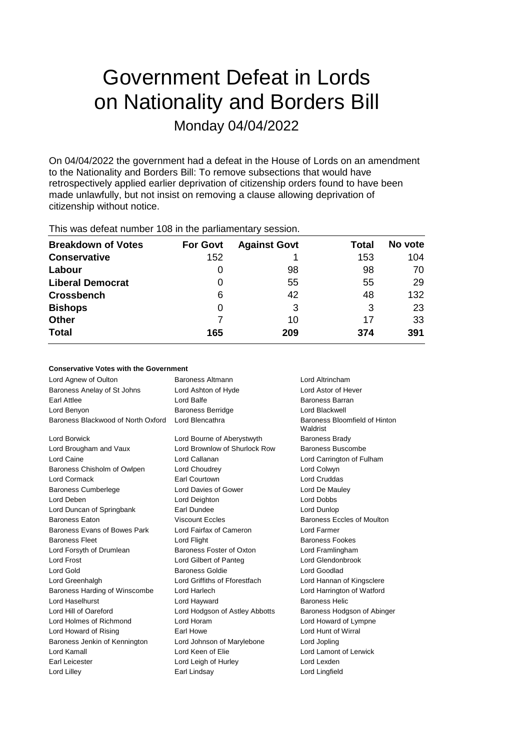# Government Defeat in Lords on Nationality and Borders Bill Monday 04/04/2022

On 04/04/2022 the government had a defeat in the House of Lords on an amendment to the Nationality and Borders Bill: To remove subsections that would have retrospectively applied earlier deprivation of citizenship orders found to have been made unlawfully, but not insist on removing a clause allowing deprivation of citizenship without notice.

| <b>Breakdown of Votes</b> | <b>For Govt</b> | <b>Against Govt</b> | Total | No vote |
|---------------------------|-----------------|---------------------|-------|---------|
| <b>Conservative</b>       | 152             |                     | 153   | 104     |
| Labour                    | O               | 98                  | 98    | 70      |
| <b>Liberal Democrat</b>   | 0               | 55                  | 55    | 29      |
| <b>Crossbench</b>         | 6               | 42                  | 48    | 132     |
| <b>Bishops</b>            | 0               | 3                   | 3     | 23      |
| <b>Other</b>              |                 | 10                  | 17    | 33      |
| <b>Total</b>              | 165             | 209                 | 374   | 391     |
|                           |                 |                     |       |         |

This was defeat number 108 in the parliamentary session.

# **Conservative Votes with the Government**

| Baroness Altmann               | Lord Altrincham                           |
|--------------------------------|-------------------------------------------|
| Lord Ashton of Hyde            | Lord Astor of Hever                       |
| Lord Balfe                     | Baroness Barran                           |
| <b>Baroness Berridge</b>       | Lord Blackwell                            |
| Lord Blencathra                | Baroness Bloomfield of Hinton<br>Waldrist |
| Lord Bourne of Aberystwyth     | <b>Baroness Brady</b>                     |
| Lord Brownlow of Shurlock Row  | Baroness Buscombe                         |
| Lord Callanan                  | Lord Carrington of Fulham                 |
| Lord Choudrey                  | Lord Colwyn                               |
| <b>Earl Courtown</b>           | <b>Lord Cruddas</b>                       |
| Lord Davies of Gower           | Lord De Mauley                            |
| Lord Deighton                  | <b>Lord Dobbs</b>                         |
| Earl Dundee                    | Lord Dunlop                               |
| <b>Viscount Eccles</b>         | Baroness Eccles of Moulton                |
| Lord Fairfax of Cameron        | I ord Farmer                              |
| Lord Flight                    | <b>Baroness Fookes</b>                    |
| Baroness Foster of Oxton       | Lord Framlingham                          |
| Lord Gilbert of Panteg         | Lord Glendonbrook                         |
| <b>Baroness Goldie</b>         | Lord Goodlad                              |
| Lord Griffiths of Fforestfach  | Lord Hannan of Kingsclere                 |
| Lord Harlech                   | Lord Harrington of Watford                |
| Lord Hayward                   | <b>Baroness Helic</b>                     |
| Lord Hodgson of Astley Abbotts | Baroness Hodgson of Abinger               |
| Lord Horam                     | Lord Howard of Lympne                     |
| Earl Howe                      | Lord Hunt of Wirral                       |
| Lord Johnson of Marylebone     | Lord Jopling                              |
| Lord Keen of Elie              | Lord Lamont of Lerwick                    |
| Lord Leigh of Hurley           | Lord Lexden                               |
| Earl Lindsay                   | Lord Lingfield                            |
|                                |                                           |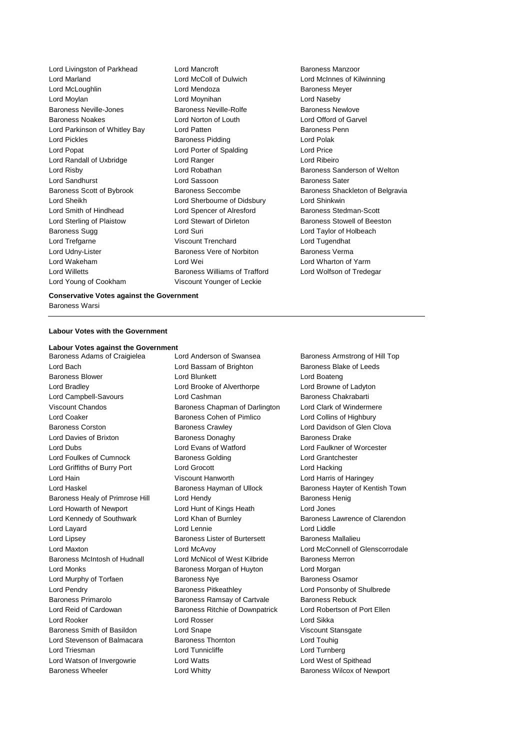Lord Livingston of Parkhead Lord Mancroft **Baroness Manzoor** Lord Marland Lord McColl of Dulwich Lord McInnes of Kilwinning Lord McLoughlin **Lord Mendoza Baroness Meyer** Lord Moylan Lord Moynihan Lord Naseby Baroness Neville-Jones Baroness Neville-Rolfe Baroness Newlove Baroness Noakes Lord Norton of Louth Lord Offord of Garvel Lord Parkinson of Whitley Bay Lord Patten **Baroness Penn** Lord Pickles **Baroness Pidding** Lord Polak Lord Popat **Lord Porter of Spalding Lord Price** Lord Randall of Uxbridge Lord Ranger Lord Ribeiro Lord Risby **Lord Robathan** Baroness Sanderson of Welton Lord Sandhurst **Lord Sassoon** Baroness Sater Lord Sheikh Lord Sherbourne of Didsbury Lord Shinkwin Lord Smith of Hindhead Lord Spencer of Alresford Baroness Stedman-Scott Lord Sterling of Plaistow **Lord Stewart of Dirleton** Baroness Stowell of Beeston Baroness Sugg 
and Lord Suri Cord Suri Cord Taylor of Holbeach Lord Trefgarne Viscount Trenchard Lord Tugendhat Lord Udny-Lister **Baroness Vere of Norbiton** Baroness Verma Lord Wakeham Lord Wei Lord Wharton of Yarm Lord Willetts **Baroness Williams of Trafford** Lord Wolfson of Tredegar Lord Young of Cookham Viscount Younger of Leckie

Baroness Scott of Bybrook Baroness Seccombe Baroness Shackleton of Belgravia

**Conservative Votes against the Government**

Baroness Warsi

### **Labour Votes with the Government**

# **Labour Votes against the Government**

Baroness Wheeler **Lord Whitty Example 2** Baroness Wilcox of Newport

Lord Bach **Lord Bassam of Brighton** Baroness Blake of Leeds Baroness Blower **Lord Blunkett** Lord Brand Lord Boateng Lord Boateng Lord Bradley Lord Brooke of Alverthorpe Lord Browne of Ladyton Lord Campbell-Savours Lord Cashman Baroness Chakrabarti Viscount Chandos **Baroness Chapman of Darlington** Lord Clark of Windermere Lord Coaker Baroness Cohen of Pimlico Lord Collins of Highbury Baroness Corston **Baroness Crawley Baroness Crawley** Lord Davidson of Glen Clova Lord Davies of Brixton Baroness Donaghy Baroness Drake Lord Dubs Lord Evans of Watford Lord Faulkner of Worcester Lord Foulkes of Cumnock Baroness Golding Lord Grantchester Lord Griffiths of Burry Port Lord Grocott Lord Hacking Lord Hain Viscount Hanworth Lord Harris of Haringey Baroness Healy of Primrose Hill Lord Hendy Communication Baroness Henig Lord Howarth of Newport Lord Hunt of Kings Heath Lord Jones Lord Layard Lord Lennie Lord Liddle Lord Lipsey **Baroness Lister of Burtersett** Baroness Mallalieu Baroness McIntosh of Hudnall Lord McNicol of West Kilbride Baroness Merron Lord Monks Baroness Morgan of Huyton Lord Morgan Lord Murphy of Torfaen **Baroness Nye** Baroness Nye Baroness Osamor Lord Pendry Baroness Pitkeathley Lord Ponsonby of Shulbrede Baroness Primarolo **Baroness Ramsay of Cartvale** Baroness Rebuck Lord Reid of Cardowan **Baroness Ritchie of Downpatrick** Lord Robertson of Port Ellen Lord Rooker Lord Rosser Lord Sikka Baroness Smith of Basildon Lord Snape Viscount Stansgate Lord Stevenson of Balmacara Baroness Thornton Lord Touhig Lord Triesman **Lord Turnberg** Lord Tunnicliffe **Lord Turnberg** Lord Watson of Invergowrie Lord Watts Lord West of Spithead

Baroness Armstrong of Hill Top Lord Haskel **Baroness Hayman of Ullock** Baroness Hayter of Kentish Town Lord Kennedy of Southwark Lord Khan of Burnley Baroness Lawrence of Clarendon Lord Maxton Lord McAvoy Lord McConnell of Glenscorrodale